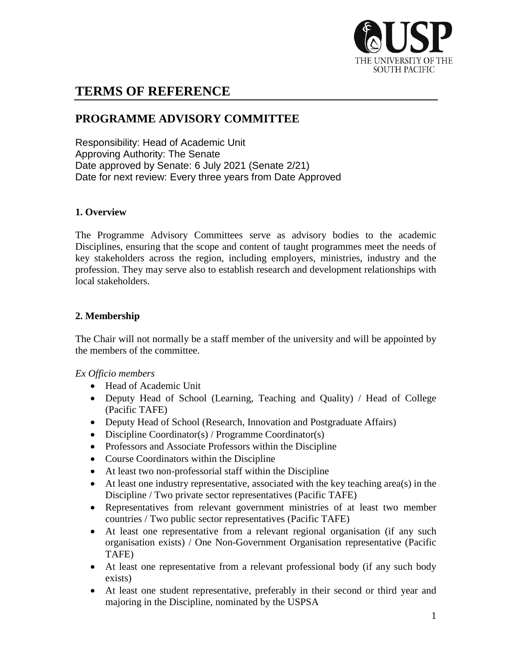

# **TERMS OF REFERENCE**

# **PROGRAMME ADVISORY COMMITTEE**

Responsibility: Head of Academic Unit Approving Authority: The Senate Date approved by Senate: 6 July 2021 (Senate 2/21) Date for next review: Every three years from Date Approved

# **1. Overview**

The Programme Advisory Committees serve as advisory bodies to the academic Disciplines, ensuring that the scope and content of taught programmes meet the needs of key stakeholders across the region, including employers, ministries, industry and the profession. They may serve also to establish research and development relationships with local stakeholders.

# **2. Membership**

The Chair will not normally be a staff member of the university and will be appointed by the members of the committee.

# *Ex Officio members*

- Head of Academic Unit
- Deputy Head of School (Learning, Teaching and Quality) / Head of College (Pacific TAFE)
- Deputy Head of School (Research, Innovation and Postgraduate Affairs)
- Discipline Coordinator(s) / Programme Coordinator(s)
- Professors and Associate Professors within the Discipline
- Course Coordinators within the Discipline
- At least two non-professorial staff within the Discipline
- At least one industry representative, associated with the key teaching area(s) in the Discipline / Two private sector representatives (Pacific TAFE)
- Representatives from relevant government ministries of at least two member countries / Two public sector representatives (Pacific TAFE)
- At least one representative from a relevant regional organisation (if any such organisation exists) / One Non-Government Organisation representative (Pacific TAFE)
- At least one representative from a relevant professional body (if any such body exists)
- At least one student representative, preferably in their second or third year and majoring in the Discipline, nominated by the USPSA